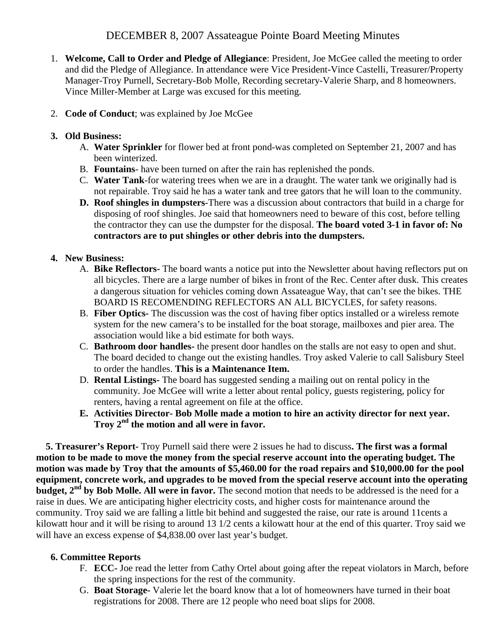# DECEMBER 8, 2007 Assateague Pointe Board Meeting Minutes

- 1. **Welcome, Call to Order and Pledge of Allegiance**: President, Joe McGee called the meeting to order and did the Pledge of Allegiance. In attendance were Vice President-Vince Castelli, Treasurer/Property Manager-Troy Purnell, Secretary-Bob Molle, Recording secretary-Valerie Sharp, and 8 homeowners. Vince Miller-Member at Large was excused for this meeting.
- 2. **Code of Conduct**; was explained by Joe McGee

#### **3. Old Business:**

- A. **Water Sprinkler** for flower bed at front pond-was completed on September 21, 2007 and has been winterized.
- B. **Fountains** have been turned on after the rain has replenished the ponds.
- C. **Water Tank**-for watering trees when we are in a draught. The water tank we originally had is not repairable. Troy said he has a water tank and tree gators that he will loan to the community.
- **D. Roof shingles in dumpsters**-There was a discussion about contractors that build in a charge for disposing of roof shingles. Joe said that homeowners need to beware of this cost, before telling the contractor they can use the dumpster for the disposal. **The board voted 3-1 in favor of: No contractors are to put shingles or other debris into the dumpsters.**

## **4. New Business:**

- A. **Bike Reflectors-** The board wants a notice put into the Newsletter about having reflectors put on all bicycles. There are a large number of bikes in front of the Rec. Center after dusk. This creates a dangerous situation for vehicles coming down Assateague Way, that can't see the bikes. THE BOARD IS RECOMENDING REFLECTORS AN ALL BICYCLES, for safety reasons.
- B. **Fiber Optics-** The discussion was the cost of having fiber optics installed or a wireless remote system for the new camera's to be installed for the boat storage, mailboxes and pier area. The association would like a bid estimate for both ways.
- C. **Bathroom door handles-** the present door handles on the stalls are not easy to open and shut. The board decided to change out the existing handles. Troy asked Valerie to call Salisbury Steel to order the handles. **This is a Maintenance Item.**
- D. **Rental Listings-** The board has suggested sending a mailing out on rental policy in the community. Joe McGee will write a letter about rental policy, guests registering, policy for renters, having a rental agreement on file at the office.
- **E. Activities Director- Bob Molle made a motion to hire an activity director for next year. Troy 2nd the motion and all were in favor.**

**5. Treasurer's Report-** Troy Purnell said there were 2 issues he had to discuss**. The first was a formal motion to be made to move the money from the special reserve account into the operating budget. The motion was made by Troy that the amounts of \$5,460.00 for the road repairs and \$10,000.00 for the pool equipment, concrete work, and upgrades to be moved from the special reserve account into the operating budget, 2<sup>nd</sup> by Bob Molle. All were in favor.** The second motion that needs to be addressed is the need for a raise in dues. We are anticipating higher electricity costs, and higher costs for maintenance around the community. Troy said we are falling a little bit behind and suggested the raise, our rate is around 11cents a kilowatt hour and it will be rising to around 13 1/2 cents a kilowatt hour at the end of this quarter. Troy said we will have an excess expense of \$4,838.00 over last year's budget.

## **6. Committee Reports**

- F. **ECC-** Joe read the letter from Cathy Ortel about going after the repeat violators in March, before the spring inspections for the rest of the community.
- G. **Boat Storage-** Valerie let the board know that a lot of homeowners have turned in their boat registrations for 2008. There are 12 people who need boat slips for 2008.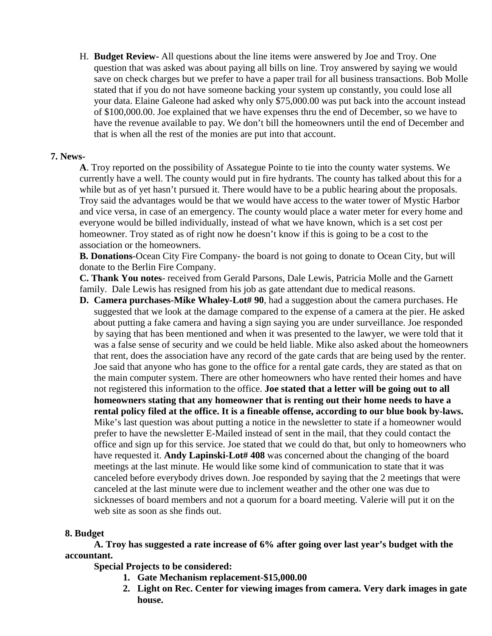H. **Budget Review-** All questions about the line items were answered by Joe and Troy. One question that was asked was about paying all bills on line. Troy answered by saying we would save on check charges but we prefer to have a paper trail for all business transactions. Bob Molle stated that if you do not have someone backing your system up constantly, you could lose all your data. Elaine Galeone had asked why only \$75,000.00 was put back into the account instead of \$100,000.00. Joe explained that we have expenses thru the end of December, so we have to have the revenue available to pay. We don't bill the homeowners until the end of December and that is when all the rest of the monies are put into that account.

#### **7. News-**

**A**. Troy reported on the possibility of Assategue Pointe to tie into the county water systems. We currently have a well. The county would put in fire hydrants. The county has talked about this for a while but as of yet hasn't pursued it. There would have to be a public hearing about the proposals. Troy said the advantages would be that we would have access to the water tower of Mystic Harbor and vice versa, in case of an emergency. The county would place a water meter for every home and everyone would be billed individually, instead of what we have known, which is a set cost per homeowner. Troy stated as of right now he doesn't know if this is going to be a cost to the association or the homeowners.

**B. Donations**-Ocean City Fire Company- the board is not going to donate to Ocean City, but will donate to the Berlin Fire Company.

**C. Thank You notes**- received from Gerald Parsons, Dale Lewis, Patricia Molle and the Garnett family. Dale Lewis has resigned from his job as gate attendant due to medical reasons.

**D. Camera purchases-Mike Whaley-Lot# 90**, had a suggestion about the camera purchases. He suggested that we look at the damage compared to the expense of a camera at the pier. He asked about putting a fake camera and having a sign saying you are under surveillance. Joe responded by saying that has been mentioned and when it was presented to the lawyer, we were told that it was a false sense of security and we could be held liable. Mike also asked about the homeowners that rent, does the association have any record of the gate cards that are being used by the renter. Joe said that anyone who has gone to the office for a rental gate cards, they are stated as that on the main computer system. There are other homeowners who have rented their homes and have not registered this information to the office. **Joe stated that a letter will be going out to all homeowners stating that any homeowner that is renting out their home needs to have a rental policy filed at the office. It is a fineable offense, according to our blue book by-laws.** Mike's last question was about putting a notice in the newsletter to state if a homeowner would prefer to have the newsletter E-Mailed instead of sent in the mail, that they could contact the office and sign up for this service. Joe stated that we could do that, but only to homeowners who have requested it. **Andy Lapinski-Lot# 408** was concerned about the changing of the board meetings at the last minute. He would like some kind of communication to state that it was canceled before everybody drives down. Joe responded by saying that the 2 meetings that were canceled at the last minute were due to inclement weather and the other one was due to sicknesses of board members and not a quorum for a board meeting. Valerie will put it on the web site as soon as she finds out.

#### **8. Budget**

**A. Troy has suggested a rate increase of 6% after going over last year's budget with the accountant.**

**Special Projects to be considered:**

- **1. Gate Mechanism replacement-\$15,000.00**
- **2. Light on Rec. Center for viewing images from camera. Very dark images in gate house.**